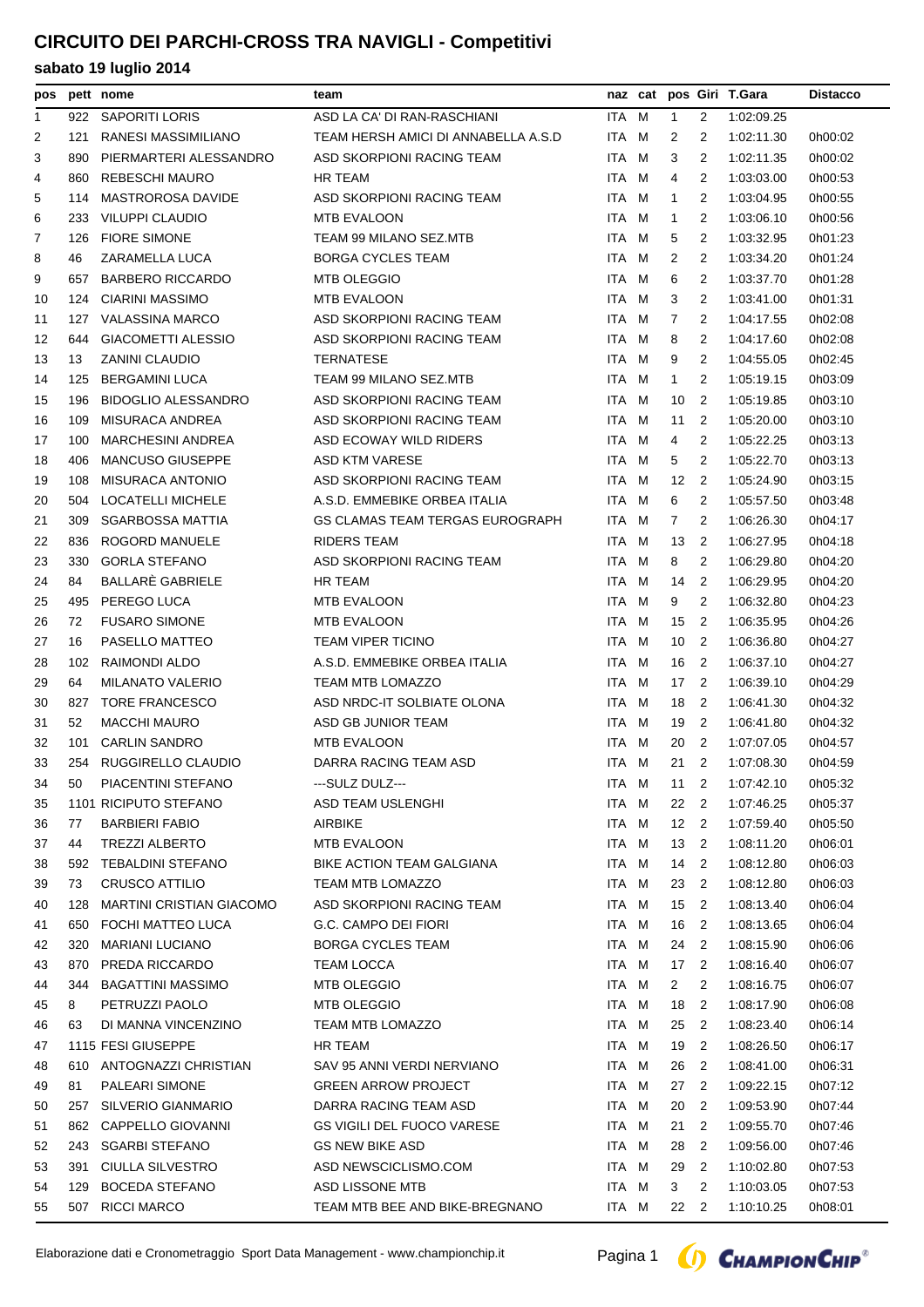# **CIRCUITO DEI PARCHI-CROSS TRA NAVIGLI - Competitivi**

| pos          |     | pett nome                                 | team                                    |                |   |                       |                                  | naz cat pos Giri T.Gara  | <b>Distacco</b> |
|--------------|-----|-------------------------------------------|-----------------------------------------|----------------|---|-----------------------|----------------------------------|--------------------------|-----------------|
| $\mathbf{1}$ |     | 922 SAPORITI LORIS                        | ASD LA CA' DI RAN-RASCHIANI             | ITA M          |   | $\mathbf{1}$          | 2                                | 1:02:09.25               |                 |
| 2            | 121 | RANESI MASSIMILIANO                       | TEAM HERSH AMICI DI ANNABELLA A.S.D     | ITA M          |   | 2                     | 2                                | 1:02:11.30               | 0h00:02         |
| 3            | 890 | PIERMARTERI ALESSANDRO                    | ASD SKORPIONI RACING TEAM               | ITA M          |   | 3                     | 2                                | 1:02:11.35               | 0h00:02         |
| 4            | 860 | <b>REBESCHI MAURO</b>                     | <b>HR TEAM</b>                          | ITA M          |   | 4                     | 2                                | 1:03:03.00               | 0h00:53         |
| 5            | 114 | MASTROROSA DAVIDE                         | ASD SKORPIONI RACING TEAM               | ITA M          |   | 1                     | 2                                | 1:03:04.95               | 0h00:55         |
| 6            | 233 | <b>VILUPPI CLAUDIO</b>                    | MTB EVALOON                             | ITA M          |   | 1                     | 2                                | 1:03:06.10               | 0h00:56         |
| 7            | 126 | <b>FIORE SIMONE</b>                       | TEAM 99 MILANO SEZ.MTB                  | ITA M          |   | 5                     | 2                                | 1:03:32.95               | 0h01:23         |
| 8            | 46  | ZARAMELLA LUCA                            | <b>BORGA CYCLES TEAM</b>                | ITA            | M | 2                     | 2                                | 1:03:34.20               | 0h01:24         |
| 9            | 657 | <b>BARBERO RICCARDO</b>                   | <b>MTB OLEGGIO</b>                      | ITA M          |   | 6                     | 2                                | 1:03:37.70               | 0h01:28         |
| 10           | 124 | CIARINI MASSIMO                           | <b>MTB EVALOON</b>                      | ITA M          |   | 3                     | 2                                | 1:03:41.00               | 0h01:31         |
| 11           |     | 127 VALASSINA MARCO                       | ASD SKORPIONI RACING TEAM               | ITA M          |   | 7                     | 2                                | 1:04:17.55               | 0h02:08         |
| 12           | 644 | <b>GIACOMETTI ALESSIO</b>                 | ASD SKORPIONI RACING TEAM               | ITA M          |   | 8                     | 2                                | 1:04:17.60               | 0h02:08         |
| 13           | 13  | ZANINI CLAUDIO                            | <b>TERNATESE</b>                        | ITA M          |   | 9                     | 2                                | 1:04:55.05               | 0h02:45         |
| 14           | 125 | <b>BERGAMINI LUCA</b>                     | TEAM 99 MILANO SEZ.MTB                  | ITA M          |   | 1                     | 2                                | 1:05:19.15               | 0h03:09         |
| 15           | 196 | <b>BIDOGLIO ALESSANDRO</b>                | ASD SKORPIONI RACING TEAM               | ITA M          |   | 10                    | 2                                | 1:05:19.85               | 0h03:10         |
| 16           | 109 | MISURACA ANDREA                           | ASD SKORPIONI RACING TEAM               | ITA M          |   | 11                    | 2                                | 1:05:20.00               | 0h03:10         |
| 17           | 100 | <b>MARCHESINI ANDREA</b>                  | ASD ECOWAY WILD RIDERS                  | ITA M          |   | 4                     | 2                                | 1:05:22.25               | 0h03:13         |
| 18           | 406 | <b>MANCUSO GIUSEPPE</b>                   | ASD KTM VARESE                          | ITA M          |   | 5                     | 2                                | 1:05:22.70               | 0h03:13         |
| 19           | 108 | <b>MISURACA ANTONIO</b>                   | ASD SKORPIONI RACING TEAM               | ITA M          |   | 12                    | $\overline{2}$                   | 1:05:24.90               | 0h03:15         |
| 20           | 504 | <b>LOCATELLI MICHELE</b>                  | A.S.D. EMMEBIKE ORBEA ITALIA            | ITA M          |   | 6                     | 2                                | 1:05:57.50               | 0h03:48         |
| 21           | 309 | <b>SGARBOSSA MATTIA</b>                   | GS CLAMAS TEAM TERGAS EUROGRAPH         | ITA M          |   | 7                     | 2                                | 1:06:26.30               | 0h04:17         |
| 22           | 836 | ROGORD MANUELE                            | <b>RIDERS TEAM</b>                      | ITA M          |   | 13                    | -2                               | 1:06:27.95               | 0h04:18         |
| 23           | 330 | <b>GORLA STEFANO</b>                      | ASD SKORPIONI RACING TEAM               | ITA M          |   | 8                     | 2                                | 1:06:29.80               | 0h04:20         |
| 24           | 84  | BALLARE GABRIELE                          | HR TEAM                                 | ITA M          |   | 14                    | -2                               | 1:06:29.95               | 0h04:20         |
| 25           | 495 | PEREGO LUCA                               | <b>MTB EVALOON</b>                      | ITA M          |   | 9                     | 2                                | 1:06:32.80               | 0h04:23         |
| 26           | 72  | <b>FUSARO SIMONE</b>                      | MTB EVALOON                             | ITA M          |   | 15                    | $\overline{2}$                   | 1:06:35.95               | 0h04:26         |
| 27           | 16  | PASELLO MATTEO                            | <b>TEAM VIPER TICINO</b>                | ITA M          |   | 10                    | $\overline{2}$                   | 1:06:36.80               | 0h04:27         |
| 28           | 102 | RAIMONDI ALDO                             | A.S.D. EMMEBIKE ORBEA ITALIA            | ITA M          |   | 16                    | -2                               | 1:06:37.10               | 0h04:27         |
| 29           | 64  | <b>MILANATO VALERIO</b>                   | TEAM MTB LOMAZZO                        | ITA M          |   | 17                    | -2                               | 1:06:39.10               | 0h04:29         |
| 30           | 827 | TORE FRANCESCO                            | ASD NRDC-IT SOLBIATE OLONA              | ITA M          |   | 18                    | -2                               | 1:06:41.30               | 0h04:32         |
| 31           | 52  | <b>MACCHI MAURO</b>                       | ASD GB JUNIOR TEAM                      | ITA M          |   | 19                    | -2                               | 1:06:41.80               | 0h04:32         |
| 32           | 101 | <b>CARLIN SANDRO</b>                      | MTB EVALOON                             | ITA M          |   | 20                    | -2                               | 1:07:07.05               | 0h04:57         |
| 33           |     | 254 RUGGIRELLO CLAUDIO                    | DARRA RACING TEAM ASD                   | ITA M          |   | $21 \quad 2$          |                                  | 1:07:08.30               | 0h04:59         |
| 34           | 50  | PIACENTINI STEFANO                        | ---SULZ DULZ---                         | ITA M          |   |                       |                                  | 11 2 1:07:42.10          | 0h05:32         |
| 35           |     | 1101 RICIPUTO STEFANO                     | ASD TEAM USLENGHI                       | ITA M          |   | 22                    | 2                                | 1:07:46.25               | 0h05:37         |
| 36           | 77  | <b>BARBIERI FABIO</b>                     | <b>AIRBIKE</b>                          | ITA M          |   | 12                    | $\overline{2}$                   | 1:07:59.40               | 0h05:50         |
| 37           | 44  | <b>TREZZI ALBERTO</b>                     | <b>MTB EVALOON</b>                      | ITA M          |   | 13                    | $\overline{2}$                   | 1:08:11.20               | 0h06:01         |
| 38           | 592 | <b>TEBALDINI STEFANO</b>                  | BIKE ACTION TEAM GALGIANA               | ITA M          |   | 14                    | $\overline{2}$                   | 1:08:12.80               | 0h06:03         |
| 39           | 73  | <b>CRUSCO ATTILIO</b>                     | TEAM MTB LOMAZZO                        | ITA M          |   | 23                    | $\overline{2}$                   | 1:08:12.80               | 0h06:03         |
| 40           | 128 | <b>MARTINI CRISTIAN GIACOMO</b>           | ASD SKORPIONI RACING TEAM               | ITA M          |   | 15                    | $\overline{2}$                   | 1:08:13.40               | 0h06:04         |
| 41           | 650 | FOCHI MATTEO LUCA                         | G.C. CAMPO DEI FIORI                    | ITA M          |   | 16                    | $\overline{2}$                   | 1:08:13.65               | 0h06:04         |
| 42           | 320 | <b>MARIANI LUCIANO</b>                    | <b>BORGA CYCLES TEAM</b>                | ITA M          |   | 24                    | $\overline{2}$                   | 1:08:15.90               | 0h06:06         |
| 43           | 870 | PREDA RICCARDO                            | <b>TEAM LOCCA</b>                       | ITA M          |   | 17                    | -2                               | 1:08:16.40               | 0h06:07         |
| 44           | 344 | <b>BAGATTINI MASSIMO</b>                  | <b>MTB OLEGGIO</b>                      | ITA M          |   | $\mathbf{2}^{\prime}$ | 2                                | 1:08:16.75               | 0h06:07         |
| 45           | 8   | PETRUZZI PAOLO                            | <b>MTB OLEGGIO</b>                      | ITA M          |   | 18                    | -2                               | 1:08:17.90               | 0h06:08         |
| 46           | 63  | DI MANNA VINCENZINO                       | <b>TEAM MTB LOMAZZO</b>                 | ITA M          |   | 25                    | -2                               | 1:08:23.40               | 0h06:14         |
| 47           |     | 1115 FESI GIUSEPPE                        | HR TEAM                                 | ITA M          |   | 19                    | 2                                | 1:08:26.50               | 0h06:17         |
| 48           | 610 | ANTOGNAZZI CHRISTIAN                      | SAV 95 ANNI VERDI NERVIANO              | ITA M          |   | 26                    | $\overline{2}$                   | 1:08:41.00               | 0h06:31         |
| 49           | 81  | PALEARI SIMONE                            | <b>GREEN ARROW PROJECT</b>              | ITA M          |   | 27                    | 2                                | 1:09:22.15               | 0h07:12         |
|              |     | SILVERIO GIANMARIO                        | DARRA RACING TEAM ASD                   |                |   |                       |                                  |                          |                 |
| 50           | 257 | 862 CAPPELLO GIOVANNI                     | <b>GS VIGILI DEL FUOCO VARESE</b>       | ITA M          |   | 20<br>21              | $\overline{2}$<br>$\overline{2}$ | 1:09:53.90<br>1:09:55.70 | 0h07:44         |
| 51           |     | <b>SGARBI STEFANO</b>                     | <b>GS NEW BIKE ASD</b>                  | ITA M<br>ITA M |   |                       |                                  |                          | 0h07:46         |
| 52           | 243 |                                           |                                         |                |   | 28                    | $\overline{2}$                   | 1:09:56.00               | 0h07:46         |
| 53           | 391 | CIULLA SILVESTRO<br><b>BOCEDA STEFANO</b> | ASD NEWSCICLISMO.COM<br>ASD LISSONE MTB | ITA M          |   | 29                    | 2                                | 1:10:02.80               | 0h07:53         |
| 54           | 129 |                                           |                                         | ITA M          |   | 3                     | 2                                | 1:10:03.05               | 0h07:53         |
| 55           |     | 507 RICCI MARCO                           | TEAM MTB BEE AND BIKE-BREGNANO          | ITA M          |   | 22 2                  |                                  | 1:10:10.25               | 0h08:01         |

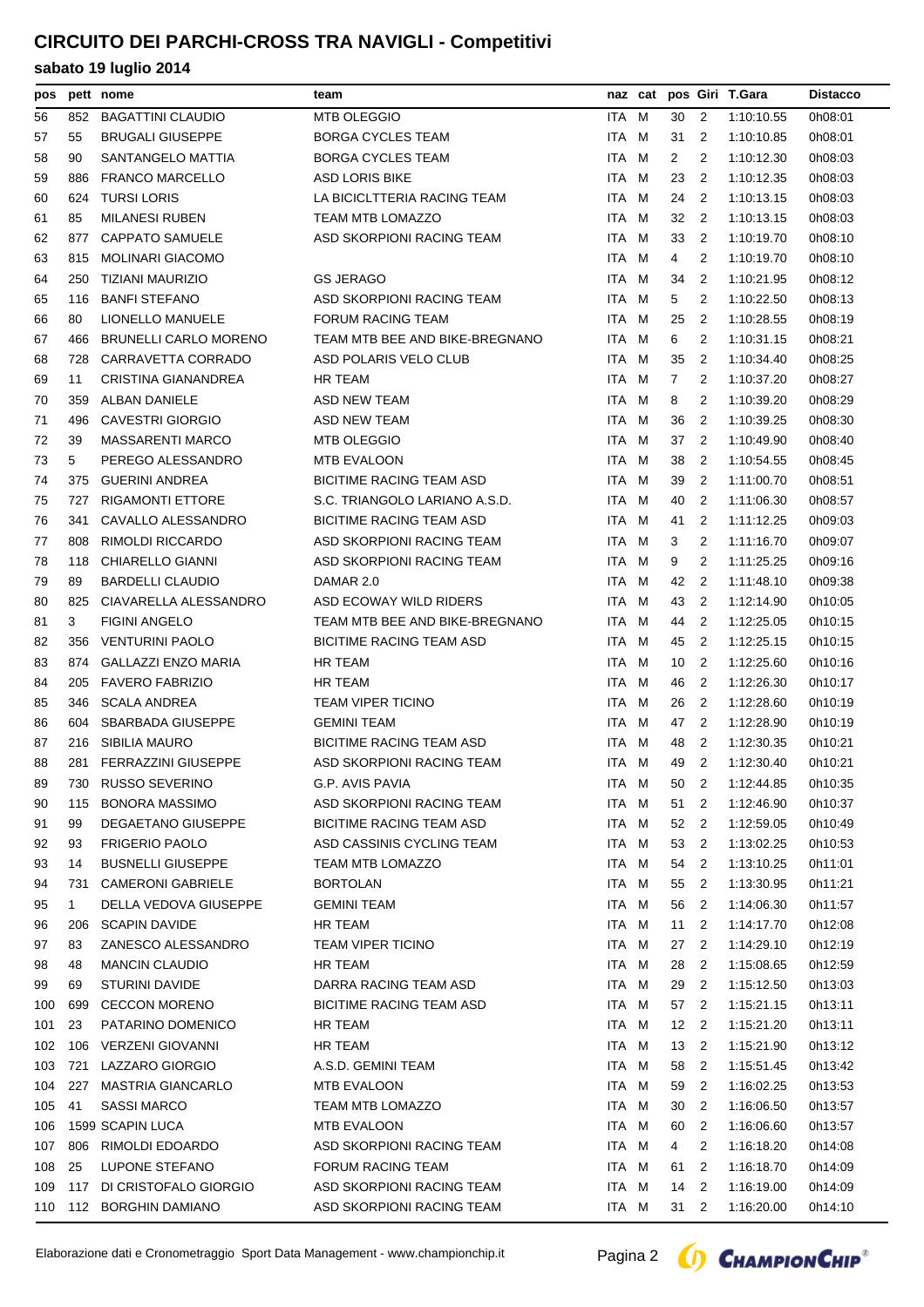# **CIRCUITO DEI PARCHI-CROSS TRA NAVIGLI - Competitivi**

| pos |              | pett nome                              | team                            |       | naz cat |              |                          | pos Giri T.Gara | <b>Distacco</b> |
|-----|--------------|----------------------------------------|---------------------------------|-------|---------|--------------|--------------------------|-----------------|-----------------|
| 56  | 852          | <b>BAGATTINI CLAUDIO</b>               | <b>MTB OLEGGIO</b>              | ITA M |         | 30           | -2                       | 1:10:10.55      | 0h08:01         |
| 57  | 55           | <b>BRUGALI GIUSEPPE</b>                | <b>BORGA CYCLES TEAM</b>        | ITA M |         | 31           | -2                       | 1:10:10.85      | 0h08:01         |
| 58  | 90           | SANTANGELO MATTIA                      | <b>BORGA CYCLES TEAM</b>        | ITA M |         | 2            | 2                        | 1:10:12.30      | 0h08:03         |
| 59  | 886          | <b>FRANCO MARCELLO</b>                 | <b>ASD LORIS BIKE</b>           | ITA M |         | 23           | -2                       | 1:10:12.35      | 0h08:03         |
| 60  | 624          | <b>TURSI LORIS</b>                     | LA BICICLTTERIA RACING TEAM     | ITA M |         | 24           | -2                       | 1:10:13.15      | 0h08:03         |
| 61  | 85           | <b>MILANESI RUBEN</b>                  | TEAM MTB LOMAZZO                | ITA M |         | 32           | -2                       | 1:10:13.15      | 0h08:03         |
| 62  | 877          | <b>CAPPATO SAMUELE</b>                 | ASD SKORPIONI RACING TEAM       | ITA M |         | 33           | $\overline{2}$           | 1:10:19.70      | 0h08:10         |
| 63  | 815          | <b>MOLINARI GIACOMO</b>                |                                 | ITA M |         | 4            | 2                        | 1:10:19.70      | 0h08:10         |
| 64  | 250          | TIZIANI MAURIZIO                       | <b>GS JERAGO</b>                | ITA M |         | 34           | $\overline{2}$           | 1:10:21.95      | 0h08:12         |
| 65  | 116          | <b>BANFI STEFANO</b>                   | ASD SKORPIONI RACING TEAM       | ITA M |         | 5            | 2                        | 1:10:22.50      | 0h08:13         |
| 66  | 80           | LIONELLO MANUELE                       | <b>FORUM RACING TEAM</b>        | ITA M |         | 25           | -2                       | 1:10:28.55      | 0h08:19         |
| 67  | 466          | <b>BRUNELLI CARLO MORENO</b>           | TEAM MTB BEE AND BIKE-BREGNANO  | ITA M |         | 6            | 2                        | 1:10:31.15      | 0h08:21         |
| 68  | 728          | CARRAVETTA CORRADO                     | ASD POLARIS VELO CLUB           | ITA M |         | 35           | $\overline{2}$           | 1:10:34.40      | 0h08:25         |
| 69  | 11           | CRISTINA GIANANDREA                    | <b>HR TEAM</b>                  | ITA M |         | $\mathbf{7}$ | 2                        | 1:10:37.20      | 0h08:27         |
| 70  | 359          | ALBAN DANIELE                          | <b>ASD NEW TEAM</b>             | ITA   | M       | 8            | 2                        | 1:10:39.20      | 0h08:29         |
| 71  | 496          | <b>CAVESTRI GIORGIO</b>                | ASD NEW TEAM                    | ITA M |         | 36           | 2                        | 1:10:39.25      | 0h08:30         |
| 72  | 39           | <b>MASSARENTI MARCO</b>                | <b>MTB OLEGGIO</b>              | ITA M |         | 37           | 2                        | 1:10:49.90      | 0h08:40         |
| 73  | 5            | PEREGO ALESSANDRO                      | <b>MTB EVALOON</b>              | ITA M |         | 38           | 2                        | 1:10:54.55      | 0h08:45         |
| 74  | 375          | <b>GUERINI ANDREA</b>                  | <b>BICITIME RACING TEAM ASD</b> | ITA M |         | 39           | $\overline{2}$           | 1:11:00.70      | 0h08:51         |
| 75  | 727          | <b>RIGAMONTI ETTORE</b>                | S.C. TRIANGOLO LARIANO A.S.D.   | ITA M |         | 40           | $\overline{2}$           | 1:11:06.30      | 0h08:57         |
| 76  | 341          | CAVALLO ALESSANDRO                     | <b>BICITIME RACING TEAM ASD</b> | ITA M |         | 41           | 2                        | 1:11:12.25      | 0h09:03         |
| 77  | 808          | <b>RIMOLDI RICCARDO</b>                | ASD SKORPIONI RACING TEAM       | ITA M |         | 3            | 2                        | 1:11:16.70      | 0h09:07         |
| 78  | 118          | CHIARELLO GIANNI                       | ASD SKORPIONI RACING TEAM       | ITA M |         | 9            | 2                        | 1:11:25.25      | 0h09:16         |
| 79  | 89           | <b>BARDELLI CLAUDIO</b>                | DAMAR 2.0                       | ITA M |         | 42           | -2                       | 1:11:48.10      | 0h09:38         |
| 80  | 825          | CIAVARELLA ALESSANDRO                  | ASD ECOWAY WILD RIDERS          | ITA M |         | 43           | $\overline{2}$           | 1:12:14.90      | 0h10:05         |
| 81  | 3            | <b>FIGINI ANGELO</b>                   | TEAM MTB BEE AND BIKE-BREGNANO  | ITA M |         | 44           | $\overline{2}$           | 1:12:25.05      | 0h10:15         |
| 82  | 356          | VENTURINI PAOLO                        | <b>BICITIME RACING TEAM ASD</b> | ITA M |         | 45           | -2                       | 1:12:25.15      | 0h10:15         |
| 83  | 874          | GALLAZZI ENZO MARIA                    | <b>HR TEAM</b>                  | ITA M |         | 10           | -2                       | 1:12:25.60      | 0h10:16         |
| 84  | 205          | <b>FAVERO FABRIZIO</b>                 | HR TEAM                         | ITA M |         | 46           | -2                       | 1:12:26.30      | 0h10:17         |
| 85  | 346          | <b>SCALA ANDREA</b>                    | <b>TEAM VIPER TICINO</b>        | ITA M |         | 26           | -2                       | 1:12:28.60      | 0h10:19         |
| 86  | 604          | <b>SBARBADA GIUSEPPE</b>               | <b>GEMINI TEAM</b>              | ITA M |         | 47           | $\overline{2}$           | 1:12:28.90      | 0h10:19         |
| 87  | 216          | SIBILIA MAURO                          | <b>BICITIME RACING TEAM ASD</b> | ITA M |         | 48           | -2                       | 1:12:30.35      | 0h10:21         |
| 88  |              | 281 FERRAZZINI GIUSEPPE                | ASD SKORPIONI RACING TEAM       | ITA M |         | 49           | $\overline{2}$           | 1:12:30.40      | 0h10:21         |
| 89  |              | 730 RUSSO SEVERINO                     | G.P. AVIS PAVIA                 | ITA M |         |              |                          | 50 2 1:12:44.85 | 0h10:35         |
| 90  | 115          | <b>BONORA MASSIMO</b>                  | ASD SKORPIONI RACING TEAM       | ITA M |         | 51           | 2                        | 1:12:46.90      | 0h10:37         |
| 91  | 99           | DEGAETANO GIUSEPPE                     | <b>BICITIME RACING TEAM ASD</b> | ITA M |         | 52           | $\overline{2}$           | 1:12:59.05      | 0h10:49         |
| 92  | 93           | <b>FRIGERIO PAOLO</b>                  | ASD CASSINIS CYCLING TEAM       | ITA M |         | 53 2         |                          | 1:13:02.25      | 0h10:53         |
| 93  | 14           | <b>BUSNELLI GIUSEPPE</b>               | TEAM MTB LOMAZZO                | ITA M |         | 54           | $\overline{2}$           | 1:13:10.25      | 0h11:01         |
| 94  | 731          | <b>CAMERONI GABRIELE</b>               | <b>BORTOLAN</b>                 | ITA M |         | 55           | $\overline{2}$           | 1:13:30.95      | 0h11:21         |
| 95  | $\mathbf{1}$ | DELLA VEDOVA GIUSEPPE                  | GEMINI TEAM                     | ITA M |         | 56           | $\overline{\phantom{a}}$ | 1:14:06.30      | 0h11:57         |
| 96  | 206          | <b>SCAPIN DAVIDE</b>                   | HR TEAM                         | ITA M |         | 11           | 2                        | 1:14:17.70      | 0h12:08         |
| 97  | 83           | ZANESCO ALESSANDRO                     | <b>TEAM VIPER TICINO</b>        | ITA M |         | 27           | $\overline{2}$           | 1:14:29.10      | 0h12:19         |
| 98  | 48           | <b>MANCIN CLAUDIO</b>                  | HR TEAM                         | ITA M |         | 28           | - 2                      | 1:15:08.65      | 0h12:59         |
| 99  | 69           | <b>STURINI DAVIDE</b>                  | DARRA RACING TEAM ASD           | ITA M |         | 29           | $\overline{2}$           | 1:15:12.50      | 0h13:03         |
| 100 | 699          | <b>CECCON MORENO</b>                   | <b>BICITIME RACING TEAM ASD</b> | ITA M |         | 57           | $\overline{2}$           | 1:15:21.15      | 0h13:11         |
| 101 | 23           | PATARINO DOMENICO                      | HR TEAM                         | ITA M |         | 12           | $\overline{\phantom{a}}$ | 1:15:21.20      | 0h13:11         |
| 102 | 106          | VERZENI GIOVANNI                       | HR TEAM                         | ITA M |         | 13           | -2                       | 1:15:21.90      | 0h13:12         |
| 103 | 721          | LAZZARO GIORGIO                        | A.S.D. GEMINI TEAM              | ITA M |         | 58           | $\overline{2}$           | 1:15:51.45      | 0h13:42         |
|     |              | <b>MASTRIA GIANCARLO</b>               |                                 |       |         |              | $\overline{2}$           |                 |                 |
| 104 | 227          |                                        | MTB EVALOON                     | ITA M |         | 59           |                          | 1:16:02.25      | 0h13:53         |
| 105 | 41           | <b>SASSI MARCO</b><br>1599 SCAPIN LUCA | <b>TEAM MTB LOMAZZO</b>         | ITA M |         | 30           | $\overline{2}$           | 1:16:06.50      | 0h13:57         |
| 106 |              |                                        | MTB EVALOON                     | ITA M |         | 60           | $\overline{2}$           | 1:16:06.60      | 0h13:57         |
| 107 | 806          | RIMOLDI EDOARDO                        | ASD SKORPIONI RACING TEAM       | ITA M |         | 4            | 2                        | 1:16:18.20      | 0h14:08         |
| 108 | 25           | LUPONE STEFANO                         | <b>FORUM RACING TEAM</b>        | ITA M |         | 61           | 2                        | 1:16:18.70      | 0h14:09         |
| 109 | 117          | DI CRISTOFALO GIORGIO                  | ASD SKORPIONI RACING TEAM       | ITA M |         | 14           | $\overline{2}$           | 1:16:19.00      | 0h14:09         |
|     |              | 110 112 BORGHIN DAMIANO                | ASD SKORPIONI RACING TEAM       | ITA M |         | 31 2         |                          | 1:16:20.00      | 0h14:10         |

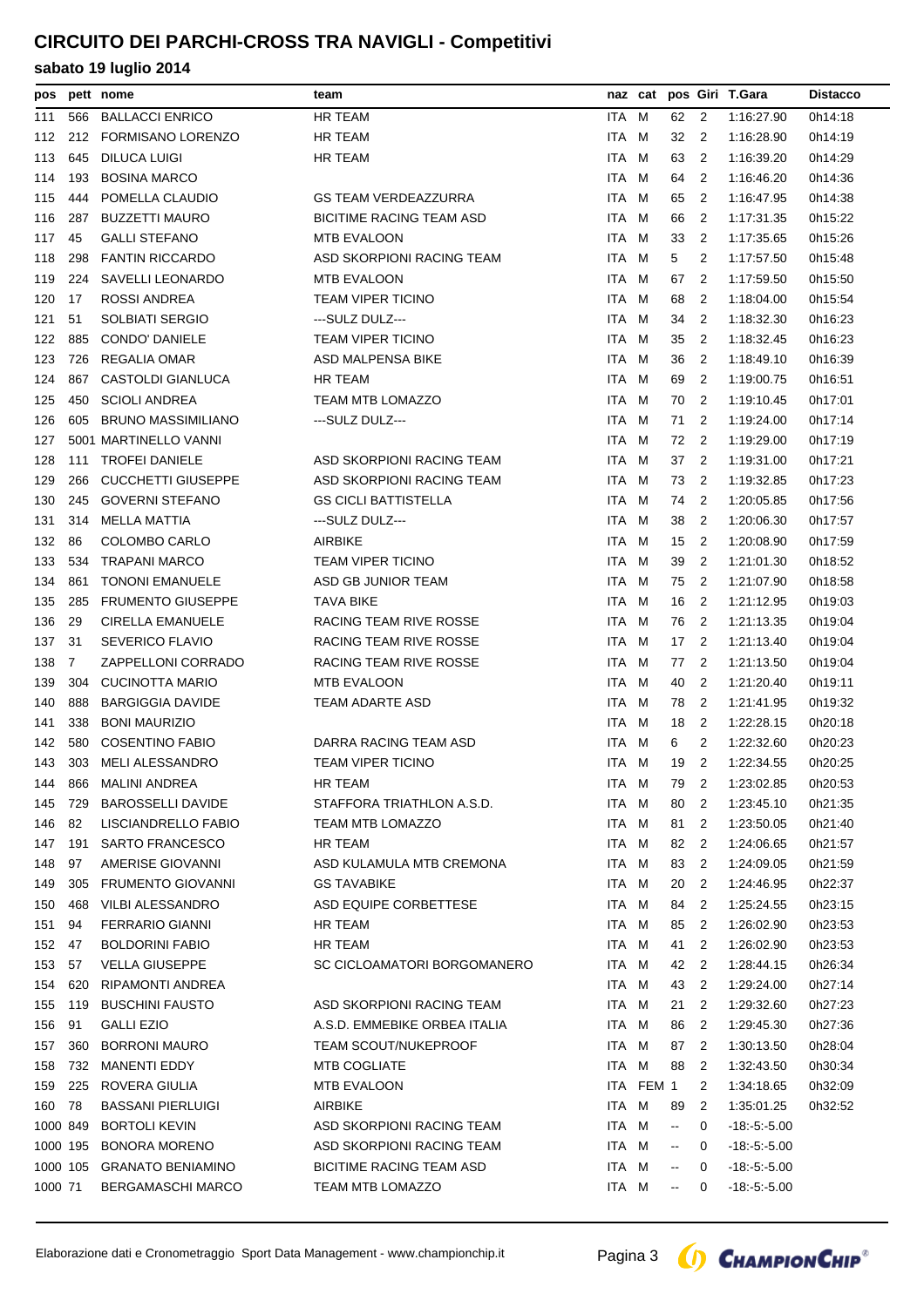# **CIRCUITO DEI PARCHI-CROSS TRA NAVIGLI - Competitivi**

| pos      |                | pett nome                 | team                            |       |           |                                               |                | naz cat pos Giri T.Gara | <b>Distacco</b> |
|----------|----------------|---------------------------|---------------------------------|-------|-----------|-----------------------------------------------|----------------|-------------------------|-----------------|
| 111      | 566            | <b>BALLACCI ENRICO</b>    | HR TEAM                         | ITA   | м         | 62                                            | 2              | 1:16:27.90              | 0h14:18         |
| 112      | 212            | <b>FORMISANO LORENZO</b>  | HR TEAM                         | ITA M |           | 32                                            | 2              | 1:16:28.90              | 0h14:19         |
| 113      | 645            | DILUCA LUIGI              | HR TEAM                         | ITA M |           | 63                                            | 2              | 1:16:39.20              | 0h14:29         |
| 114      | 193            | <b>BOSINA MARCO</b>       |                                 | ITA M |           | 64                                            | 2              | 1:16:46.20              | 0h14:36         |
| 115      | 444            | POMELLA CLAUDIO           | <b>GS TEAM VERDEAZZURRA</b>     | ITA M |           | 65                                            | 2              | 1:16:47.95              | 0h14:38         |
| 116      | 287            | <b>BUZZETTI MAURO</b>     | <b>BICITIME RACING TEAM ASD</b> | ITA M |           | 66                                            | 2              | 1:17:31.35              | 0h15:22         |
| 117      | 45             | <b>GALLI STEFANO</b>      | <b>MTB EVALOON</b>              | ITA M |           | 33                                            | 2              | 1:17:35.65              | 0h15:26         |
| 118      | 298            | <b>FANTIN RICCARDO</b>    | ASD SKORPIONI RACING TEAM       | ITA M |           | 5                                             | 2              | 1:17:57.50              | 0h15:48         |
| 119      | 224            | <b>SAVELLI LEONARDO</b>   | <b>MTB EVALOON</b>              | ITA M |           | 67                                            | 2              | 1:17:59.50              | 0h15:50         |
| 120      | 17             | <b>ROSSI ANDREA</b>       | <b>TEAM VIPER TICINO</b>        | ITA M |           | 68                                            | 2              | 1:18:04.00              | 0h15:54         |
| 121      | 51             | SOLBIATI SERGIO           | ---SULZ DULZ---                 | ITA M |           | 34                                            | 2              | 1:18:32.30              | 0h16:23         |
| 122      | 885            | <b>CONDO' DANIELE</b>     | <b>TEAM VIPER TICINO</b>        | ITA M |           | 35                                            | $\overline{2}$ | 1:18:32.45              | 0h16:23         |
| 123      | 726            | REGALIA OMAR              | ASD MALPENSA BIKE               | ITA M |           | 36                                            | 2              | 1:18:49.10              | 0h16:39         |
| 124      | 867            | CASTOLDI GIANLUCA         | HR TEAM                         | ITA M |           | 69                                            | 2              | 1:19:00.75              | 0h16:51         |
| 125      | 450            | <b>SCIOLI ANDREA</b>      | TEAM MTB LOMAZZO                | ITA M |           | 70                                            | 2              | 1:19:10.45              | 0h17:01         |
| 126      | 605            | <b>BRUNO MASSIMILIANO</b> | ---SULZ DULZ---                 | ITA M |           | 71                                            | 2              | 1:19:24.00              | 0h17:14         |
| 127      |                | 5001 MARTINELLO VANNI     |                                 | ITA M |           | 72                                            | 2              | 1:19:29.00              | 0h17:19         |
| 128      | 111            | <b>TROFEI DANIELE</b>     | ASD SKORPIONI RACING TEAM       | ITA M |           | 37                                            | 2              | 1:19:31.00              | 0h17:21         |
| 129      | 266            | <b>CUCCHETTI GIUSEPPE</b> | ASD SKORPIONI RACING TEAM       | ITA M |           | 73                                            | 2              | 1:19:32.85              | 0h17:23         |
| 130      | 245            | <b>GOVERNI STEFANO</b>    | <b>GS CICLI BATTISTELLA</b>     | ITA M |           | 74                                            | 2              | 1:20:05.85              | 0h17:56         |
| 131      | 314            | MELLA MATTIA              | ---SULZ DULZ---                 | ITA M |           | 38                                            | 2              | 1:20:06.30              | 0h17:57         |
| 132      | 86             | COLOMBO CARLO             | <b>AIRBIKE</b>                  | ITA M |           | 15                                            | 2              | 1:20:08.90              | 0h17:59         |
| 133      | 534            | <b>TRAPANI MARCO</b>      | <b>TEAM VIPER TICINO</b>        | ITA M |           | 39                                            | 2              | 1:21:01.30              | 0h18:52         |
| 134      | 861            | <b>TONONI EMANUELE</b>    | ASD GB JUNIOR TEAM              | ITA M |           | 75                                            | 2              | 1:21:07.90              | 0h18:58         |
| 135      | 285            | <b>FRUMENTO GIUSEPPE</b>  | <b>TAVA BIKE</b>                | ITA   | M         | 16                                            | 2              | 1:21:12.95              | 0h19:03         |
| 136      | 29             | CIRELLA EMANUELE          | RACING TEAM RIVE ROSSE          | ITA M |           | 76                                            | 2              | 1:21:13.35              | 0h19:04         |
| 137      | 31             | <b>SEVERICO FLAVIO</b>    | RACING TEAM RIVE ROSSE          | ITA M |           | 17                                            | 2              | 1:21:13.40              | 0h19:04         |
| 138      | $\overline{7}$ | ZAPPELLONI CORRADO        | RACING TEAM RIVE ROSSE          | ITA M |           | 77                                            | 2              | 1:21:13.50              | 0h19:04         |
| 139      | 304            | <b>CUCINOTTA MARIO</b>    | MTB EVALOON                     | ITA M |           | 40                                            | 2              | 1:21:20.40              | 0h19:11         |
| 140      | 888            | <b>BARGIGGIA DAVIDE</b>   | TEAM ADARTE ASD                 | ITA M |           | 78                                            | 2              | 1:21:41.95              | 0h19:32         |
| 141      | 338            | <b>BONI MAURIZIO</b>      |                                 | ITA   | M         | 18                                            | 2              | 1:22:28.15              | 0h20:18         |
| 142      | 580            | <b>COSENTINO FABIO</b>    | DARRA RACING TEAM ASD           | ITA M |           | 6                                             | 2              | 1:22:32.60              | 0h20:23         |
| 143      |                | 303 MELI ALESSANDRO       | <b>TEAM VIPER TICINO</b>        | ITA M |           | 19                                            | 2              | 1:22:34.55              | 0h20:25         |
| 144      | 866            | <b>MALINI ANDREA</b>      | HR TEAM                         | ITA M |           | 79                                            | 2              | 1:23:02.85              | 0h20:53         |
| 145      | 729            | <b>BAROSSELLI DAVIDE</b>  | STAFFORA TRIATHLON A.S.D.       | ITA M |           | 80                                            | 2              | 1:23:45.10              | 0h21:35         |
| 146      | 82             | LISCIANDRELLO FABIO       | TEAM MTB LOMAZZO                | ITA M |           | 81                                            | 2              | 1:23:50.05              | 0h21:40         |
| 147      | 191            | <b>SARTO FRANCESCO</b>    | HR TEAM                         | ITA   | M         | 82                                            | 2              | 1:24:06.65              | 0h21:57         |
| 148      | 97             | AMERISE GIOVANNI          | ASD KULAMULA MTB CREMONA        | ITA M |           | 83                                            | 2              | 1:24:09.05              | 0h21:59         |
| 149      | 305            | <b>FRUMENTO GIOVANNI</b>  | <b>GS TAVABIKE</b>              | ITA M |           | 20                                            | 2              | 1:24:46.95              | 0h22:37         |
| 150      | 468            | <b>VILBI ALESSANDRO</b>   | ASD EQUIPE CORBETTESE           | ITA M |           | 84                                            | 2              | 1:25:24.55              | 0h23:15         |
| 151      | 94             | <b>FERRARIO GIANNI</b>    | <b>HR TEAM</b>                  | ITA M |           | 85                                            | 2              | 1:26:02.90              | 0h23:53         |
| 152      | 47             | <b>BOLDORINI FABIO</b>    | <b>HR TEAM</b>                  | ITA M |           | 41                                            | 2              | 1:26:02.90              | 0h23:53         |
| 153      | 57             | <b>VELLA GIUSEPPE</b>     | SC CICLOAMATORI BORGOMANERO     | ITA   | M         | 42                                            | 2              | 1:28:44.15              | 0h26:34         |
| 154      | 620            | RIPAMONTI ANDREA          |                                 | ITA M |           | 43                                            | 2              | 1:29:24.00              | 0h27:14         |
| 155      | 119            | <b>BUSCHINI FAUSTO</b>    | ASD SKORPIONI RACING TEAM       | ITA M |           | 21                                            | 2              | 1:29:32.60              | 0h27:23         |
| 156      | 91             | <b>GALLI EZIO</b>         | A.S.D. EMMEBIKE ORBEA ITALIA    | ITA M |           | 86                                            | 2              | 1:29:45.30              | 0h27:36         |
| 157      | 360            | <b>BORRONI MAURO</b>      | <b>TEAM SCOUT/NUKEPROOF</b>     | ITA M |           | 87                                            | 2              | 1:30:13.50              | 0h28:04         |
| 158      | 732            | <b>MANENTI EDDY</b>       | MTB COGLIATE                    | ITA M |           | 88                                            | 2              | 1:32:43.50              | 0h30:34         |
| 159      | 225            | ROVERA GIULIA             | MTB EVALOON                     |       | ITA FEM 1 |                                               | 2              | 1:34:18.65              | 0h32:09         |
| 160      | 78             | <b>BASSANI PIERLUIGI</b>  | <b>AIRBIKE</b>                  | ITA M |           | 89                                            | 2              | 1:35:01.25              | 0h32:52         |
| 1000 849 |                | <b>BORTOLI KEVIN</b>      | ASD SKORPIONI RACING TEAM       | ITA M |           | $\mathord{\hspace{1pt}\text{--}\hspace{1pt}}$ | 0              | $-18: -5: -5.00$        |                 |
| 1000 195 |                | <b>BONORA MORENO</b>      | ASD SKORPIONI RACING TEAM       | ITA M |           | $\overline{\phantom{a}}$                      | 0              | $-18:5:5.00$            |                 |
| 1000 105 |                | <b>GRANATO BENIAMINO</b>  | <b>BICITIME RACING TEAM ASD</b> | ITA M |           | $\overline{\phantom{a}}$                      | 0              | $-18: -5: -5.00$        |                 |
| 1000 71  |                | BERGAMASCHI MARCO         | TEAM MTB LOMAZZO                | ITA M |           | --                                            | 0              | $-18: -5. -5.00$        |                 |

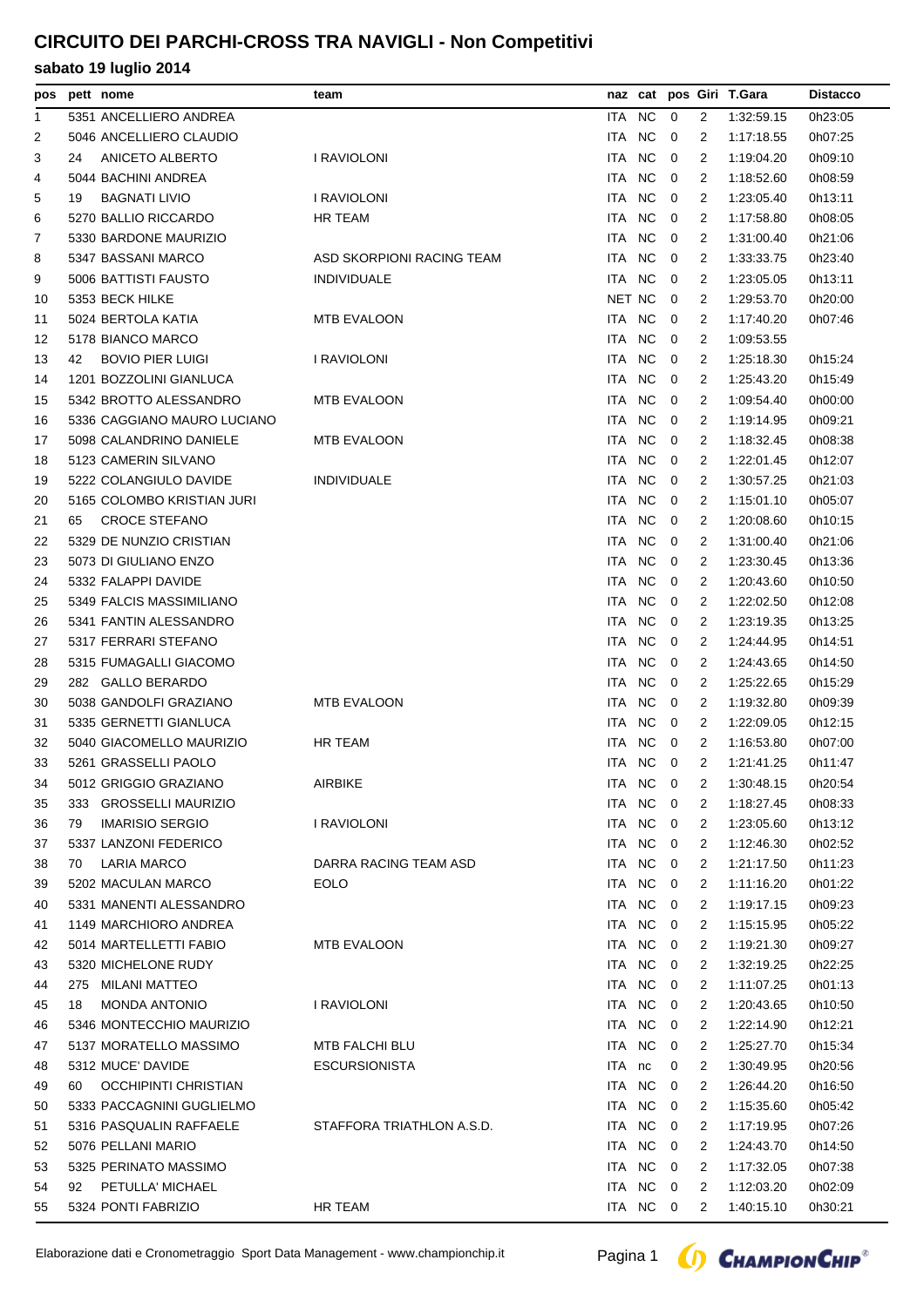# **CIRCUITO DEI PARCHI-CROSS TRA NAVIGLI - Non Competitivi**

| pos |     | pett nome                   | team                      |        |           |                |                | naz cat pos Giri T.Gara | <b>Distacco</b> |
|-----|-----|-----------------------------|---------------------------|--------|-----------|----------------|----------------|-------------------------|-----------------|
| 1   |     | 5351 ANCELLIERO ANDREA      |                           | ITA NC |           | $\overline{0}$ | 2              | 1:32:59.15              | 0h23:05         |
| 2   |     | 5046 ANCELLIERO CLAUDIO     |                           | ITA    | <b>NC</b> | $\mathbf 0$    | 2              | 1:17:18.55              | 0h07:25         |
| 3   | 24  | ANICETO ALBERTO             | I RAVIOLONI               | ITA    | <b>NC</b> | $\overline{0}$ | 2              | 1:19:04.20              | 0h09:10         |
| 4   |     | 5044 BACHINI ANDREA         |                           | ITA NC |           | 0              | 2              | 1:18:52.60              | 0h08:59         |
| 5   | 19  | <b>BAGNATI LIVIO</b>        | I RAVIOLONI               | ITA NC |           | $\overline{0}$ | 2              | 1:23:05.40              | 0h13:11         |
| 6   |     | 5270 BALLIO RICCARDO        | HR TEAM                   | ITA NC |           | $\overline{0}$ | 2              | 1:17:58.80              | 0h08:05         |
| 7   |     | 5330 BARDONE MAURIZIO       |                           | ITA NC |           | 0              | 2              | 1:31:00.40              | 0h21:06         |
| 8   |     | 5347 BASSANI MARCO          | ASD SKORPIONI RACING TEAM | ITA    | <b>NC</b> | 0              | 2              | 1:33:33.75              | 0h23:40         |
| 9   |     | 5006 BATTISTI FAUSTO        | <b>INDIVIDUALE</b>        | ITA NC |           | $\overline{0}$ | 2              | 1:23:05.05              | 0h13:11         |
| 10  |     | 5353 BECK HILKE             |                           | NET NC |           | 0              | 2              | 1:29:53.70              | 0h20:00         |
| 11  |     | 5024 BERTOLA KATIA          | <b>MTB EVALOON</b>        | ITA NC |           | $\overline{0}$ | 2              | 1:17:40.20              | 0h07:46         |
| 12  |     | 5178 BIANCO MARCO           |                           | ITA NC |           | $\overline{0}$ | 2              | 1:09:53.55              |                 |
| 13  | 42  | <b>BOVIO PIER LUIGI</b>     | I RAVIOLONI               | ITA NC |           | $\overline{0}$ | 2              | 1:25:18.30              | 0h15:24         |
| 14  |     | 1201 BOZZOLINI GIANLUCA     |                           | ITA    | <b>NC</b> | 0              | 2              | 1:25:43.20              | 0h15:49         |
| 15  |     | 5342 BROTTO ALESSANDRO      | <b>MTB EVALOON</b>        | ITA    | <b>NC</b> | $\overline{0}$ | 2              | 1:09:54.40              | 0h00:00         |
| 16  |     | 5336 CAGGIANO MAURO LUCIANO |                           | ITA    | <b>NC</b> | 0              | 2              | 1:19:14.95              | 0h09:21         |
| 17  |     | 5098 CALANDRINO DANIELE     | MTB EVALOON               | ITA.   | <b>NC</b> | 0              | 2              | 1:18:32.45              | 0h08:38         |
| 18  |     | 5123 CAMERIN SILVANO        |                           | ITA NC |           | $\overline{0}$ | 2              | 1:22:01.45              | 0h12:07         |
| 19  |     | 5222 COLANGIULO DAVIDE      | <b>INDIVIDUALE</b>        | ITA NC |           | $\overline{0}$ | 2              | 1:30:57.25              | 0h21:03         |
| 20  |     | 5165 COLOMBO KRISTIAN JURI  |                           | ITA    | <b>NC</b> | 0              | 2              | 1:15:01.10              | 0h05:07         |
| 21  | 65  | <b>CROCE STEFANO</b>        |                           | ITA    | <b>NC</b> | $\overline{0}$ | 2              | 1:20:08.60              | 0h10:15         |
| 22  |     | 5329 DE NUNZIO CRISTIAN     |                           | ITA NC |           | $\overline{0}$ | 2              | 1:31:00.40              | 0h21:06         |
| 23  |     | 5073 DI GIULIANO ENZO       |                           | ITA.   | <b>NC</b> | $\overline{0}$ | 2              | 1:23:30.45              | 0h13:36         |
| 24  |     | 5332 FALAPPI DAVIDE         |                           | ITA NC |           | $\overline{0}$ | 2              | 1:20:43.60              | 0h10:50         |
| 25  |     | 5349 FALCIS MASSIMILIANO    |                           | ITA NC |           | $\overline{0}$ | 2              | 1:22:02.50              | 0h12:08         |
| 26  |     | 5341 FANTIN ALESSANDRO      |                           | ITA.   | <b>NC</b> | 0              | 2              | 1:23:19.35              | 0h13:25         |
| 27  |     | 5317 FERRARI STEFANO        |                           | ITA    | <b>NC</b> | $\overline{0}$ | 2              | 1:24:44.95              | 0h14:51         |
| 28  |     | 5315 FUMAGALLI GIACOMO      |                           | ITA NC |           | 0              | 2              | 1:24:43.65              | 0h14:50         |
| 29  |     | 282 GALLO BERARDO           |                           | ITA NC |           | $\overline{0}$ | 2              | 1:25:22.65              | 0h15:29         |
| 30  |     | 5038 GANDOLFI GRAZIANO      | <b>MTB EVALOON</b>        | ITA NC |           | $\overline{0}$ | 2              | 1:19:32.80              | 0h09:39         |
| 31  |     | 5335 GERNETTI GIANLUCA      |                           | ITA NC |           | 0              | 2              | 1:22:09.05              | 0h12:15         |
| 32  |     | 5040 GIACOMELLO MAURIZIO    | <b>HR TEAM</b>            | ITA NC |           | 0              | 2              | 1:16:53.80              | 0h07:00         |
| 33  |     | 5261 GRASSELLI PAOLO        |                           | ITA NC |           | $\overline{0}$ | 2              | 1:21:41.25              | 0h11:47         |
| 34  |     | 5012 GRIGGIO GRAZIANO       | AIRBIKE                   | ITA NC |           | $\overline{0}$ | $\overline{2}$ | 1:30:48.15              | 0h20:54         |
| 35  | 333 | <b>GROSSELLI MAURIZIO</b>   |                           | ITA NC |           | 0              | 2              | 1:18:27.45              | 0h08:33         |
| 36  | 79  | <b>IMARISIO SERGIO</b>      | I RAVIOLONI               | ITA NC |           | $\overline{0}$ | 2              | 1:23:05.60              | 0h13:12         |
| 37  |     | 5337 LANZONI FEDERICO       |                           | ITA NC |           | $\overline{0}$ | 2              | 1:12:46.30              | 0h02:52         |
| 38  | 70  | <b>LARIA MARCO</b>          | DARRA RACING TEAM ASD     | ITA NC |           | 0              | 2              | 1:21:17.50              | 0h11:23         |
| 39  |     | 5202 MACULAN MARCO          | EOLO                      | ITA NC |           | 0              | 2              | 1:11:16.20              | 0h01:22         |
| 40  |     | 5331 MANENTI ALESSANDRO     |                           | ITA NC |           | $\overline{0}$ | 2              | 1:19:17.15              | 0h09:23         |
| 41  |     | 1149 MARCHIORO ANDREA       |                           | ITA NC |           | 0              | 2              | 1:15:15.95              | 0h05:22         |
| 42  |     | 5014 MARTELLETTI FABIO      | MTB EVALOON               | ITA NC |           | $\overline{0}$ | 2              | 1:19:21.30              | 0h09:27         |
| 43  |     | 5320 MICHELONE RUDY         |                           | ITA NC |           | 0              | 2              | 1:32:19.25              | 0h22:25         |
| 44  |     | 275 MILANI MATTEO           |                           | ITA NC |           | 0              | 2              | 1:11:07.25              | 0h01:13         |
| 45  | 18  | <b>MONDA ANTONIO</b>        | I RAVIOLONI               | ITA NC |           | 0              | 2              | 1:20:43.65              | 0h10:50         |
| 46  |     | 5346 MONTECCHIO MAURIZIO    |                           | ITA NC |           | $\overline{0}$ | 2              | 1:22:14.90              | 0h12:21         |
| 47  |     | 5137 MORATELLO MASSIMO      | MTB FALCHI BLU            | ITA NC |           | 0              | 2              | 1:25:27.70              | 0h15:34         |
| 48  |     | 5312 MUCE' DAVIDE           | <b>ESCURSIONISTA</b>      | ITA nc |           | 0              | 2              | 1:30:49.95              | 0h20:56         |
| 49  | 60  | OCCHIPINTI CHRISTIAN        |                           | ITA NC |           | 0              | 2              | 1:26:44.20              | 0h16:50         |
| 50  |     | 5333 PACCAGNINI GUGLIELMO   |                           | ITA    | <b>NC</b> | 0              | 2              | 1:15:35.60              | 0h05:42         |
| 51  |     | 5316 PASQUALIN RAFFAELE     | STAFFORA TRIATHLON A.S.D. | ITA NC |           | $\overline{0}$ | 2              | 1:17:19.95              | 0h07:26         |
| 52  |     | 5076 PELLANI MARIO          |                           | ITA NC |           | $\overline{0}$ | 2              | 1:24:43.70              | 0h14:50         |
| 53  |     | 5325 PERINATO MASSIMO       |                           | ITA NC |           | $\overline{0}$ | 2              | 1:17:32.05              | 0h07:38         |
| 54  | 92  | PETULLA' MICHAEL            |                           | ITA NC |           | 0              | 2              | 1:12:03.20              | 0h02:09         |
|     |     | 5324 PONTI FABRIZIO         |                           | ITA NC |           |                |                |                         |                 |
| 55  |     |                             | HR TEAM                   |        |           | $\overline{0}$ | 2              | 1:40:15.10              | 0h30:21         |